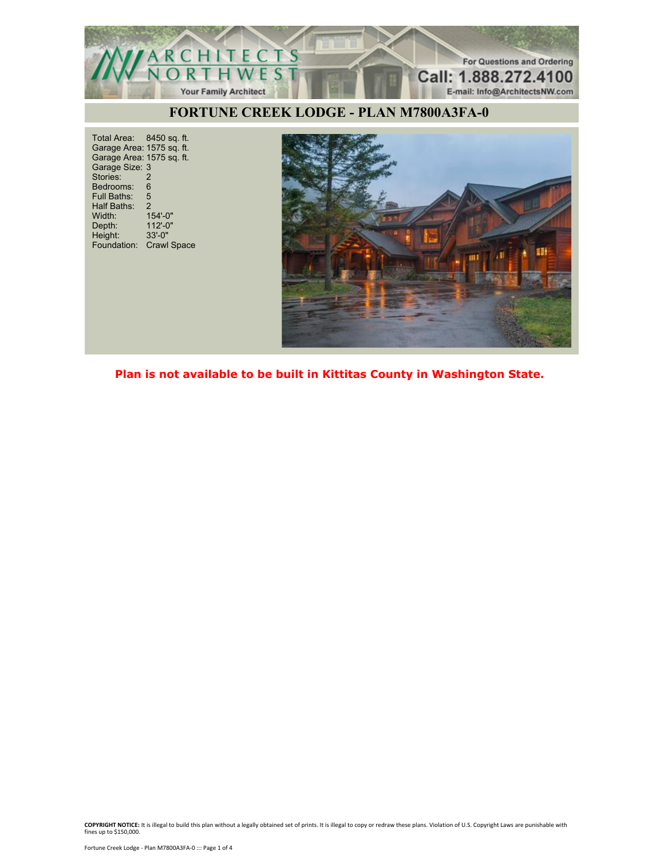

Total Area: 8450 sq. ft. Garage Area: 1575 sq. ft. Garage Area: 1575 sq. ft. Garage Size: 3 Stories: 2 Bedrooms: 6<br>Full Baths: 5 Full Baths: Half Baths: 2<br>Width: 15 Width: 154'-0"<br>Depth: 112'-0" Depth: 112'-0"<br>
Height: 33'-0" Height: 33'-0" Foundation: Crawl Space



**Plan is not available to be built in Kittitas County in Washington State.**

**COPYRIGHT NOTICE:** It is illegal to build this plan without a legally obtained set of prints. It is illegal to copy or redraw these plans. Violation of U.S. Copyright Laws are punishable with fines up to \$150,000.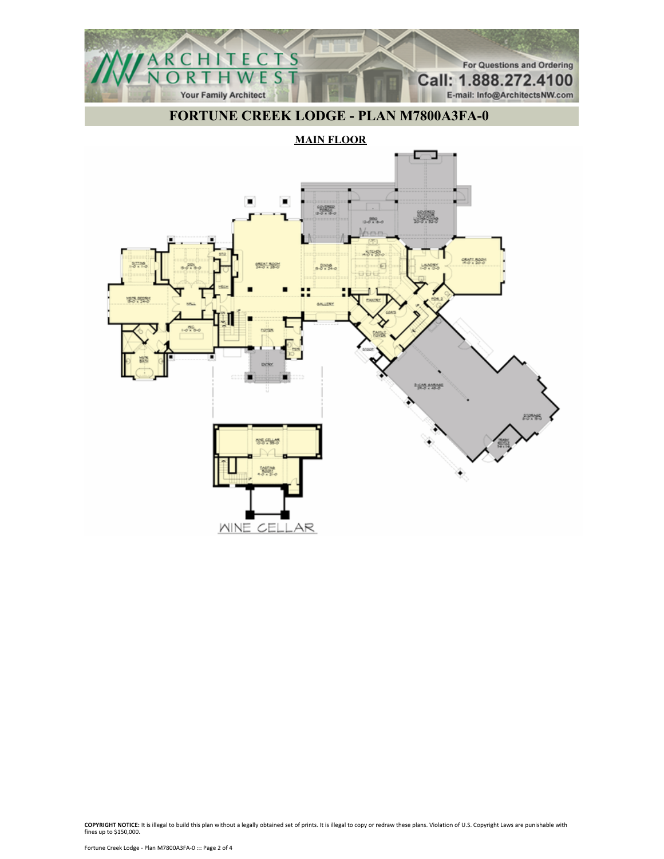

**MAIN FLOOR**

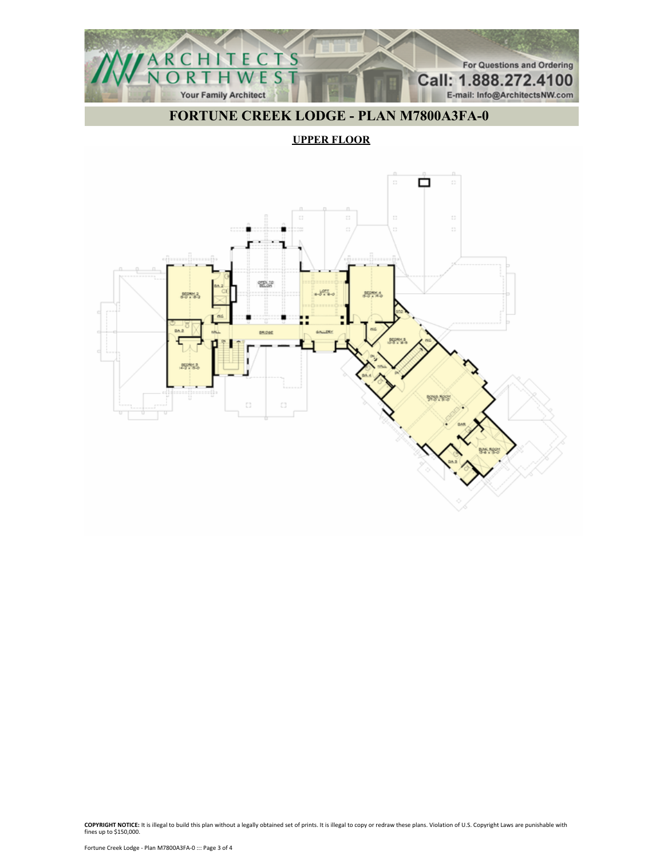

#### **UPPER FLOOR**



**COPYRIGHT NOTICE:** It is illegal to build this plan without a legally obtained set of prints. It is illegal to copy or redraw these plans. Violation of U.S. Copyright Laws are punishable with fines up to \$150,000.